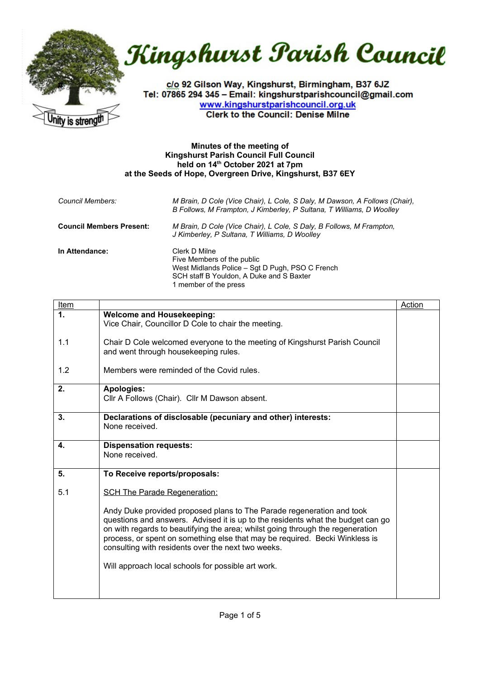

Kingshurst Parish Council

c/o 92 Gilson Way, Kingshurst, Birmingham, B37 6JZ Tel: 07865 294 345 - Email: kingshurstparishcouncil@gmail.com www.kingshurstparishcouncil.org.uk **Clerk to the Council: Denise Milne** 

## **Minutes of the meeting of Kingshurst Parish Council Full Council held on 14th October 2021 at 7pm at the Seeds of Hope, Overgreen Drive, Kingshurst, B37 6EY**

| Council Members:                | M Brain, D Cole (Vice Chair), L Cole, S Daly, M Dawson, A Follows (Chair),<br>B Follows, M Frampton, J Kimberley, P Sultana, T Williams, D Woolley                  |
|---------------------------------|---------------------------------------------------------------------------------------------------------------------------------------------------------------------|
| <b>Council Members Present:</b> | M Brain, D Cole (Vice Chair), L Cole, S Daly, B Follows, M Frampton,<br>J Kimberley, P Sultana, T Williams, D Woolley                                               |
| In Attendance:                  | Clerk D Milne<br>Five Members of the public<br>West Midlands Police – Sgt D Pugh, PSO C French<br>SCH staff B Youldon, A Duke and S Baxter<br>1 member of the press |

| Item |                                                                                                                                                                                                                                                                                                                                                                                 | Action |
|------|---------------------------------------------------------------------------------------------------------------------------------------------------------------------------------------------------------------------------------------------------------------------------------------------------------------------------------------------------------------------------------|--------|
| 1.   | <b>Welcome and Housekeeping:</b><br>Vice Chair, Councillor D Cole to chair the meeting.                                                                                                                                                                                                                                                                                         |        |
| 1.1  | Chair D Cole welcomed everyone to the meeting of Kingshurst Parish Council<br>and went through housekeeping rules.                                                                                                                                                                                                                                                              |        |
| 1.2  | Members were reminded of the Covid rules.                                                                                                                                                                                                                                                                                                                                       |        |
| 2.   | <b>Apologies:</b><br>Cllr A Follows (Chair). Cllr M Dawson absent.                                                                                                                                                                                                                                                                                                              |        |
| 3.   | Declarations of disclosable (pecuniary and other) interests:<br>None received.                                                                                                                                                                                                                                                                                                  |        |
| 4.   | <b>Dispensation requests:</b><br>None received.                                                                                                                                                                                                                                                                                                                                 |        |
| 5.   | To Receive reports/proposals:                                                                                                                                                                                                                                                                                                                                                   |        |
| 5.1  | <b>SCH The Parade Regeneration:</b>                                                                                                                                                                                                                                                                                                                                             |        |
|      | Andy Duke provided proposed plans to The Parade regeneration and took<br>questions and answers. Advised it is up to the residents what the budget can go<br>on with regards to beautifying the area; whilst going through the regeneration<br>process, or spent on something else that may be required. Becki Winkless is<br>consulting with residents over the next two weeks. |        |
|      | Will approach local schools for possible art work.                                                                                                                                                                                                                                                                                                                              |        |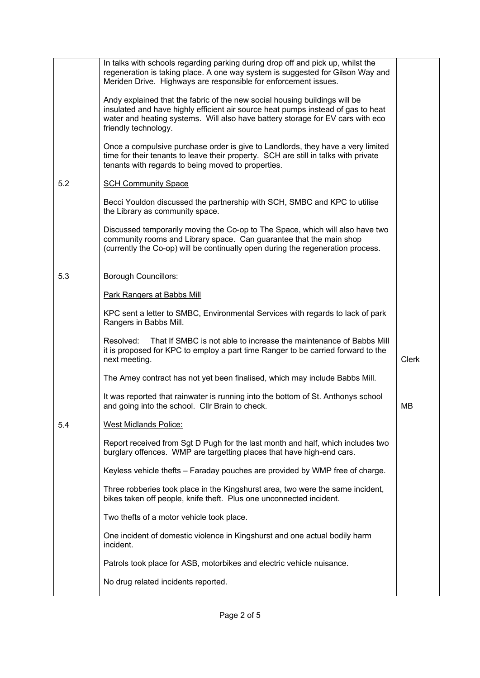|     | In talks with schools regarding parking during drop off and pick up, whilst the<br>regeneration is taking place. A one way system is suggested for Gilson Way and<br>Meriden Drive. Highways are responsible for enforcement issues.                                     |       |
|-----|--------------------------------------------------------------------------------------------------------------------------------------------------------------------------------------------------------------------------------------------------------------------------|-------|
|     | Andy explained that the fabric of the new social housing buildings will be<br>insulated and have highly efficient air source heat pumps instead of gas to heat<br>water and heating systems. Will also have battery storage for EV cars with eco<br>friendly technology. |       |
|     | Once a compulsive purchase order is give to Landlords, they have a very limited<br>time for their tenants to leave their property. SCH are still in talks with private<br>tenants with regards to being moved to properties.                                             |       |
| 5.2 | <b>SCH Community Space</b>                                                                                                                                                                                                                                               |       |
|     | Becci Youldon discussed the partnership with SCH, SMBC and KPC to utilise<br>the Library as community space.                                                                                                                                                             |       |
|     | Discussed temporarily moving the Co-op to The Space, which will also have two<br>community rooms and Library space. Can guarantee that the main shop<br>(currently the Co-op) will be continually open during the regeneration process.                                  |       |
| 5.3 | <b>Borough Councillors:</b>                                                                                                                                                                                                                                              |       |
|     | <b>Park Rangers at Babbs Mill</b>                                                                                                                                                                                                                                        |       |
|     | KPC sent a letter to SMBC, Environmental Services with regards to lack of park<br>Rangers in Babbs Mill.                                                                                                                                                                 |       |
|     | Resolved:<br>That If SMBC is not able to increase the maintenance of Babbs Mill<br>it is proposed for KPC to employ a part time Ranger to be carried forward to the<br>next meeting.                                                                                     | Clerk |
|     | The Amey contract has not yet been finalised, which may include Babbs Mill.                                                                                                                                                                                              |       |
|     | It was reported that rainwater is running into the bottom of St. Anthonys school<br>and going into the school. Cllr Brain to check.                                                                                                                                      | MВ    |
| 5.4 | <b>West Midlands Police:</b>                                                                                                                                                                                                                                             |       |
|     | Report received from Sgt D Pugh for the last month and half, which includes two<br>burglary offences. WMP are targetting places that have high-end cars.                                                                                                                 |       |
|     | Keyless vehicle thefts - Faraday pouches are provided by WMP free of charge.                                                                                                                                                                                             |       |
|     | Three robberies took place in the Kingshurst area, two were the same incident,<br>bikes taken off people, knife theft. Plus one unconnected incident.                                                                                                                    |       |
|     | Two thefts of a motor vehicle took place.                                                                                                                                                                                                                                |       |
|     | One incident of domestic violence in Kingshurst and one actual bodily harm<br>incident.                                                                                                                                                                                  |       |
|     | Patrols took place for ASB, motorbikes and electric vehicle nuisance.                                                                                                                                                                                                    |       |
|     | No drug related incidents reported.                                                                                                                                                                                                                                      |       |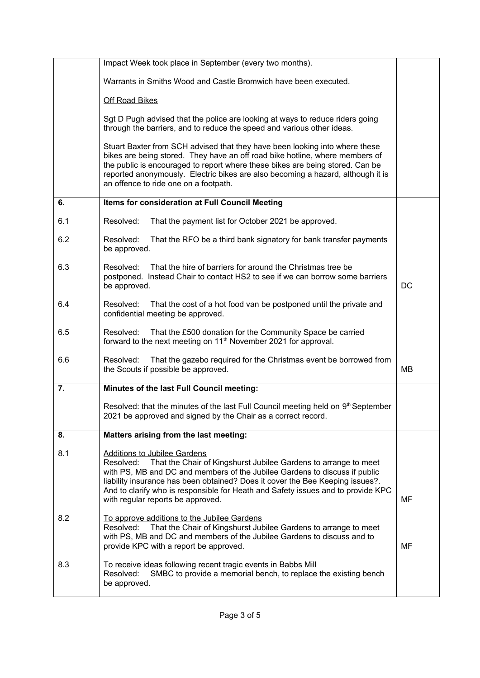|     | Impact Week took place in September (every two months).                                                                                                                                                                                                                                                                                                                                                     |    |
|-----|-------------------------------------------------------------------------------------------------------------------------------------------------------------------------------------------------------------------------------------------------------------------------------------------------------------------------------------------------------------------------------------------------------------|----|
|     | Warrants in Smiths Wood and Castle Bromwich have been executed.                                                                                                                                                                                                                                                                                                                                             |    |
|     | <b>Off Road Bikes</b>                                                                                                                                                                                                                                                                                                                                                                                       |    |
|     | Sgt D Pugh advised that the police are looking at ways to reduce riders going<br>through the barriers, and to reduce the speed and various other ideas.                                                                                                                                                                                                                                                     |    |
|     | Stuart Baxter from SCH advised that they have been looking into where these<br>bikes are being stored. They have an off road bike hotline, where members of<br>the public is encouraged to report where these bikes are being stored. Can be<br>reported anonymously. Electric bikes are also becoming a hazard, although it is<br>an offence to ride one on a footpath.                                    |    |
| 6.  | Items for consideration at Full Council Meeting                                                                                                                                                                                                                                                                                                                                                             |    |
| 6.1 | Resolved:<br>That the payment list for October 2021 be approved.                                                                                                                                                                                                                                                                                                                                            |    |
| 6.2 | Resolved:<br>That the RFO be a third bank signatory for bank transfer payments<br>be approved.                                                                                                                                                                                                                                                                                                              |    |
| 6.3 | That the hire of barriers for around the Christmas tree be<br>Resolved:<br>postponed. Instead Chair to contact HS2 to see if we can borrow some barriers<br>be approved.                                                                                                                                                                                                                                    | DC |
| 6.4 | Resolved:<br>That the cost of a hot food van be postponed until the private and<br>confidential meeting be approved.                                                                                                                                                                                                                                                                                        |    |
| 6.5 | Resolved:<br>That the £500 donation for the Community Space be carried<br>forward to the next meeting on 11 <sup>th</sup> November 2021 for approval.                                                                                                                                                                                                                                                       |    |
| 6.6 | Resolved:<br>That the gazebo required for the Christmas event be borrowed from<br>the Scouts if possible be approved.                                                                                                                                                                                                                                                                                       | MВ |
| 7.  | Minutes of the last Full Council meeting:                                                                                                                                                                                                                                                                                                                                                                   |    |
|     | Resolved: that the minutes of the last Full Council meeting held on 9 <sup>th</sup> September<br>2021 be approved and signed by the Chair as a correct record.                                                                                                                                                                                                                                              |    |
| 8.  | Matters arising from the last meeting:                                                                                                                                                                                                                                                                                                                                                                      |    |
| 8.1 | <b>Additions to Jubilee Gardens</b><br>That the Chair of Kingshurst Jubilee Gardens to arrange to meet<br>Resolved:<br>with PS, MB and DC and members of the Jubilee Gardens to discuss if public<br>liability insurance has been obtained? Does it cover the Bee Keeping issues?.<br>And to clarify who is responsible for Heath and Safety issues and to provide KPC<br>with regular reports be approved. | MF |
| 8.2 | To approve additions to the Jubilee Gardens<br>That the Chair of Kingshurst Jubilee Gardens to arrange to meet<br>Resolved:<br>with PS, MB and DC and members of the Jubilee Gardens to discuss and to<br>provide KPC with a report be approved.                                                                                                                                                            | MF |
| 8.3 | To receive ideas following recent tragic events in Babbs Mill<br>SMBC to provide a memorial bench, to replace the existing bench<br>Resolved:<br>be approved.                                                                                                                                                                                                                                               |    |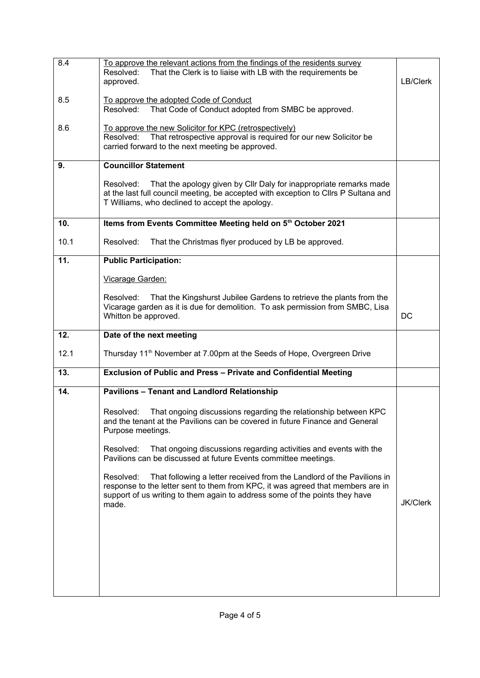| 8.4  | To approve the relevant actions from the findings of the residents survey<br>Resolved:<br>That the Clerk is to liaise with LB with the requirements be<br>approved.                                                                                            | LB/Clerk        |
|------|----------------------------------------------------------------------------------------------------------------------------------------------------------------------------------------------------------------------------------------------------------------|-----------------|
| 8.5  | To approve the adopted Code of Conduct<br>Resolved:<br>That Code of Conduct adopted from SMBC be approved.                                                                                                                                                     |                 |
| 8.6  | To approve the new Solicitor for KPC (retrospectively)<br>That retrospective approval is required for our new Solicitor be<br>Resolved:<br>carried forward to the next meeting be approved.                                                                    |                 |
| 9.   | <b>Councillor Statement</b>                                                                                                                                                                                                                                    |                 |
|      | That the apology given by Cllr Daly for inappropriate remarks made<br>Resolved:<br>at the last full council meeting, be accepted with exception to Cllrs P Sultana and<br>T Williams, who declined to accept the apology.                                      |                 |
| 10.  | Items from Events Committee Meeting held on 5 <sup>th</sup> October 2021                                                                                                                                                                                       |                 |
| 10.1 | Resolved:<br>That the Christmas flyer produced by LB be approved.                                                                                                                                                                                              |                 |
| 11.  | <b>Public Participation:</b>                                                                                                                                                                                                                                   |                 |
|      | Vicarage Garden:                                                                                                                                                                                                                                               |                 |
|      | That the Kingshurst Jubilee Gardens to retrieve the plants from the<br>Resolved:<br>Vicarage garden as it is due for demolition. To ask permission from SMBC, Lisa<br>Whitton be approved.                                                                     | DC              |
|      |                                                                                                                                                                                                                                                                |                 |
| 12.  | Date of the next meeting                                                                                                                                                                                                                                       |                 |
| 12.1 | Thursday 11 <sup>th</sup> November at 7.00pm at the Seeds of Hope, Overgreen Drive                                                                                                                                                                             |                 |
| 13.  | Exclusion of Public and Press - Private and Confidential Meeting                                                                                                                                                                                               |                 |
| 14.  | <b>Pavilions - Tenant and Landlord Relationship</b>                                                                                                                                                                                                            |                 |
|      | That ongoing discussions regarding the relationship between KPC<br>Resolved:<br>and the tenant at the Pavilions can be covered in future Finance and General<br>Purpose meetings.                                                                              |                 |
|      | That ongoing discussions regarding activities and events with the<br>Resolved:<br>Pavilions can be discussed at future Events committee meetings.                                                                                                              |                 |
|      | That following a letter received from the Landlord of the Pavilions in<br>Resolved:<br>response to the letter sent to them from KPC, it was agreed that members are in<br>support of us writing to them again to address some of the points they have<br>made. | <b>JK/Clerk</b> |
|      |                                                                                                                                                                                                                                                                |                 |
|      |                                                                                                                                                                                                                                                                |                 |
|      |                                                                                                                                                                                                                                                                |                 |
|      |                                                                                                                                                                                                                                                                |                 |